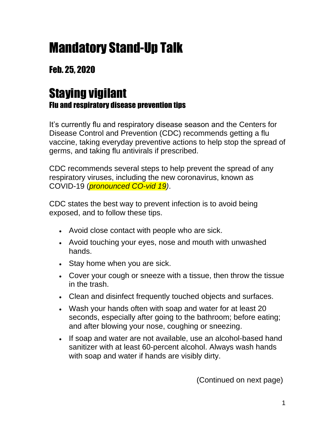## Mandatory Stand-Up Talk

## Feb. 25, 2020

## Staying vigilant Flu and respiratory disease prevention tips

It's currently flu and respiratory disease season and the Centers for Disease Control and Prevention (CDC) recommends getting a flu vaccine, taking everyday preventive actions to help stop the spread of germs, and taking flu antivirals if prescribed.

CDC recommends several steps to help prevent the spread of any respiratory viruses, including the new coronavirus, known as COVID-19 (*pronounced CO-vid 19)*.

CDC states the best way to prevent infection is to avoid being exposed, and to follow these tips.

- Avoid close contact with people who are sick.
- Avoid touching your eyes, nose and mouth with unwashed hands.
- Stay home when you are sick.
- Cover your cough or sneeze with a tissue, then throw the tissue in the trash.
- Clean and disinfect frequently touched objects and surfaces.
- Wash your hands often with soap and water for at least 20 seconds, especially after going to the bathroom; before eating; and after blowing your nose, coughing or sneezing.
- If soap and water are not available, use an alcohol-based hand sanitizer with at least 60-percent alcohol. Always wash hands with soap and water if hands are visibly dirty.

(Continued on next page)